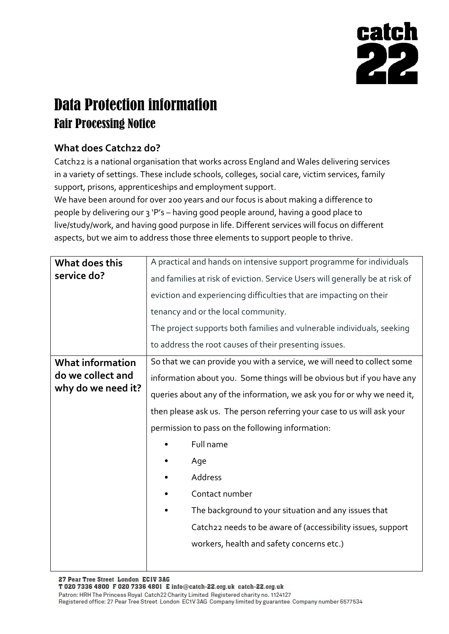

## Data Protection information Fair Processing Notice

## **What does Catch22 do?**

Catch22 is a national organisation that works across England and Wales delivering services in a variety of settings. These include schools, colleges, social care, victim services, family support, prisons, apprenticeships and employment support.

We have been around for over 200 years and our focus is about making a difference to people by delivering our 3 'P's – having good people around, having a good place to live/study/work, and having good purpose in life. Different services will focus on different aspects, but we aim to address those three elements to support people to thrive.

| What does this                                                     | A practical and hands on intensive support programme for individuals         |  |  |
|--------------------------------------------------------------------|------------------------------------------------------------------------------|--|--|
| service do?                                                        | and families at risk of eviction. Service Users will generally be at risk of |  |  |
|                                                                    | eviction and experiencing difficulties that are impacting on their           |  |  |
|                                                                    | tenancy and or the local community.                                          |  |  |
|                                                                    | The project supports both families and vulnerable individuals, seeking       |  |  |
|                                                                    | to address the root causes of their presenting issues.                       |  |  |
| <b>What information</b><br>do we collect and<br>why do we need it? | So that we can provide you with a service, we will need to collect some      |  |  |
|                                                                    | information about you. Some things will be obvious but if you have any       |  |  |
|                                                                    | queries about any of the information, we ask you for or why we need it,      |  |  |
|                                                                    | then please ask us. The person referring your case to us will ask your       |  |  |
|                                                                    | permission to pass on the following information:                             |  |  |
|                                                                    | Full name                                                                    |  |  |
|                                                                    | Age                                                                          |  |  |
|                                                                    | Address                                                                      |  |  |
|                                                                    | Contact number                                                               |  |  |
|                                                                    | The background to your situation and any issues that                         |  |  |
|                                                                    | Catch22 needs to be aware of (accessibility issues, support                  |  |  |
|                                                                    | workers, health and safety concerns etc.)                                    |  |  |
|                                                                    |                                                                              |  |  |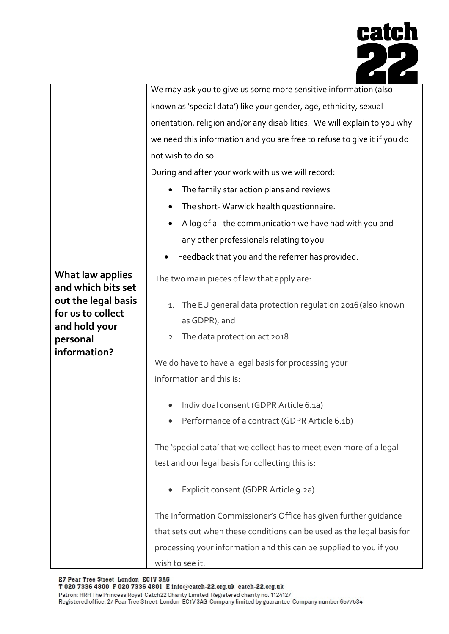

|                                                                                       | We may ask you to give us some more sensitive information (also                                                                                                                                                                                       |
|---------------------------------------------------------------------------------------|-------------------------------------------------------------------------------------------------------------------------------------------------------------------------------------------------------------------------------------------------------|
|                                                                                       | known as 'special data') like your gender, age, ethnicity, sexual                                                                                                                                                                                     |
|                                                                                       | orientation, religion and/or any disabilities. We will explain to you why                                                                                                                                                                             |
|                                                                                       | we need this information and you are free to refuse to give it if you do                                                                                                                                                                              |
|                                                                                       | not wish to do so.                                                                                                                                                                                                                                    |
|                                                                                       | During and after your work with us we will record:                                                                                                                                                                                                    |
|                                                                                       | The family star action plans and reviews                                                                                                                                                                                                              |
|                                                                                       | The short- Warwick health questionnaire.<br>$\bullet$                                                                                                                                                                                                 |
|                                                                                       | A log of all the communication we have had with you and<br>$\bullet$                                                                                                                                                                                  |
|                                                                                       | any other professionals relating to you                                                                                                                                                                                                               |
|                                                                                       | Feedback that you and the referrer has provided.                                                                                                                                                                                                      |
| What law applies<br>and which bits set                                                | The two main pieces of law that apply are:                                                                                                                                                                                                            |
| out the legal basis<br>for us to collect<br>and hold your<br>personal<br>information? | The EU general data protection regulation 2016 (also known<br>1.<br>as GDPR), and<br>The data protection act 2018<br>2.<br>We do have to have a legal basis for processing your<br>information and this is:<br>Individual consent (GDPR Article 6.1a) |
|                                                                                       | Performance of a contract (GDPR Article 6.1b)                                                                                                                                                                                                         |
|                                                                                       | The 'special data' that we collect has to meet even more of a legal<br>test and our legal basis for collecting this is:<br>Explicit consent (GDPR Article 9.2a)                                                                                       |
|                                                                                       | The Information Commissioner's Office has given further quidance<br>that sets out when these conditions can be used as the legal basis for                                                                                                            |
|                                                                                       | processing your information and this can be supplied to you if you<br>wish to see it.                                                                                                                                                                 |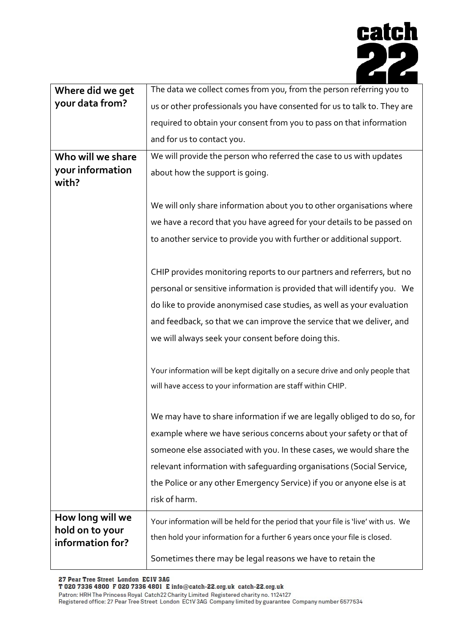

| Where did we get                    | The data we collect comes from you, from the person referring you to              |  |
|-------------------------------------|-----------------------------------------------------------------------------------|--|
| your data from?                     | us or other professionals you have consented for us to talk to. They are          |  |
|                                     | required to obtain your consent from you to pass on that information              |  |
|                                     | and for us to contact you.                                                        |  |
| Who will we share                   | We will provide the person who referred the case to us with updates               |  |
| your information<br>with?           | about how the support is going.                                                   |  |
|                                     |                                                                                   |  |
|                                     | We will only share information about you to other organisations where             |  |
|                                     | we have a record that you have agreed for your details to be passed on            |  |
|                                     | to another service to provide you with further or additional support.             |  |
|                                     |                                                                                   |  |
|                                     | CHIP provides monitoring reports to our partners and referrers, but no            |  |
|                                     | personal or sensitive information is provided that will identify you. We          |  |
|                                     | do like to provide anonymised case studies, as well as your evaluation            |  |
|                                     | and feedback, so that we can improve the service that we deliver, and             |  |
|                                     | we will always seek your consent before doing this.                               |  |
|                                     | Your information will be kept digitally on a secure drive and only people that    |  |
|                                     | will have access to your information are staff within CHIP.                       |  |
|                                     | We may have to share information if we are legally obliged to do so, for          |  |
|                                     | example where we have serious concerns about your safety or that of               |  |
|                                     | someone else associated with you. In these cases, we would share the              |  |
|                                     | relevant information with safequarding organisations (Social Service,             |  |
|                                     | the Police or any other Emergency Service) if you or anyone else is at            |  |
|                                     | risk of harm.                                                                     |  |
|                                     |                                                                                   |  |
| How long will we<br>hold on to your | Your information will be held for the period that your file is 'live' with us. We |  |
| information for?                    | then hold your information for a further 6 years once your file is closed.        |  |
|                                     | Sometimes there may be legal reasons we have to retain the                        |  |

27 Pear Tree Street London ECIV 3AG<br>T 020 7336 4800 F 020 7336 4801 E info@catch-22.org.uk catch-22.org.uk

Patron: HRH The Princess Royal Catch22 Charity Limited Registered charity no. 1124127<br>Registered office: 27 Pear Tree Street London EC1V 3AG Company limited by guarantee Company number 6577534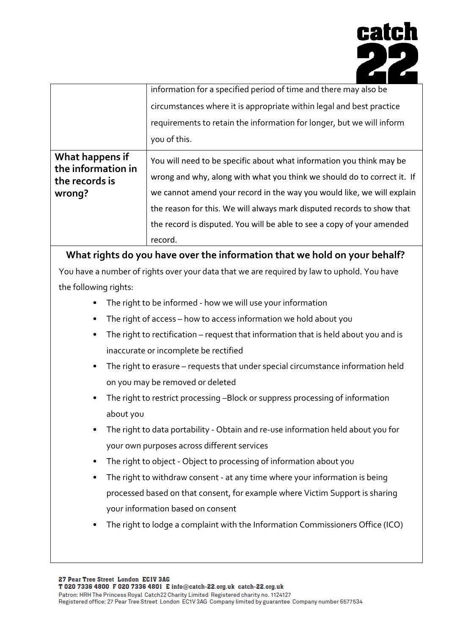

|                                                                   | information for a specified period of time and there may also be                                                                                                                                                                                                                                                                                                              |
|-------------------------------------------------------------------|-------------------------------------------------------------------------------------------------------------------------------------------------------------------------------------------------------------------------------------------------------------------------------------------------------------------------------------------------------------------------------|
|                                                                   | circumstances where it is appropriate within legal and best practice                                                                                                                                                                                                                                                                                                          |
|                                                                   | requirements to retain the information for longer, but we will inform                                                                                                                                                                                                                                                                                                         |
|                                                                   | you of this.                                                                                                                                                                                                                                                                                                                                                                  |
| What happens if<br>the information in<br>the records is<br>wrong? | You will need to be specific about what information you think may be<br>wrong and why, along with what you think we should do to correct it. If<br>we cannot amend your record in the way you would like, we will explain<br>the reason for this. We will always mark disputed records to show that<br>the record is disputed. You will be able to see a copy of your amended |
|                                                                   | record.                                                                                                                                                                                                                                                                                                                                                                       |

**What rights do you have over the information that we hold on your behalf?**

You have a number of rights over your data that we are required by law to uphold. You have the following rights:

- The right to be informed how we will use your information
- The right of access how to access information we hold about you
- The right to rectification request that information that is held about you and is inaccurate or incomplete be rectified
- The right to erasure requests that under special circumstance information held on you may be removed or deleted
- The right to restrict processing –Block or suppress processing of information about you
- The right to data portability Obtain and re-use information held about you for your own purposes across different services
- The right to object Object to processing of information about you
- The right to withdraw consent at any time where your information is being processed based on that consent, for example where Victim Support is sharing your information based on consent
- The right to lodge a complaint with the Information Commissioners Office (ICO)